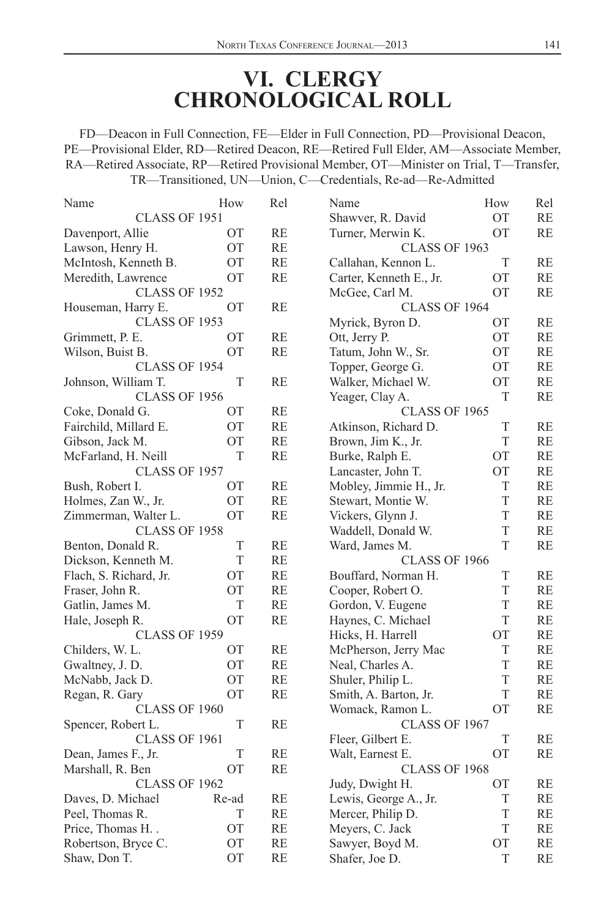## **VI. CLERGY CHRONOLOGICAL ROLL**

FD—Deacon in Full Connection, FE—Elder in Full Connection, PD—Provisional Deacon, PE—Provisional Elder, RD—Retired Deacon, RE—Retired Full Elder, AM—Associate Member, RA—Retired Associate, RP—Retired Provisional Member, OT—Minister on Trial, T—Transfer, TR—Transitioned, UN—Union, C—Credentials, Re-ad—Re-Admitted

| Name                   | How       | Rel       | Name                    | How       | Rel       |
|------------------------|-----------|-----------|-------------------------|-----------|-----------|
| CLASS OF 1951          |           |           | Shawver, R. David       | <b>OT</b> | RE        |
| Davenport, Allie       | ОT        | RE        | Turner, Merwin K.       | OT        | <b>RE</b> |
| Lawson, Henry H.       | OT        | <b>RE</b> | CLASS OF 1963           |           |           |
| McIntosh, Kenneth B.   | ОT        | RE        | Callahan, Kennon L.     | T         | RE        |
| Meredith, Lawrence     | OT        | <b>RE</b> | Carter, Kenneth E., Jr. | <b>OT</b> | RE        |
| CLASS OF 1952          |           |           | McGee, Carl M.          | <b>OT</b> | RE        |
| Houseman, Harry E.     | <b>OT</b> | <b>RE</b> | <b>CLASS OF 1964</b>    |           |           |
| CLASS OF 1953          |           |           | Myrick, Byron D.        | <b>OT</b> | RE        |
| Grimmett, P. E.        | <b>OT</b> | RE        | Ott, Jerry P.           | <b>OT</b> | RE        |
| Wilson, Buist B.       | OТ        | <b>RE</b> | Tatum, John W., Sr.     | <b>OT</b> | <b>RE</b> |
| CLASS OF 1954          |           |           | Topper, George G.       | <b>OT</b> | RE        |
| Johnson, William T.    | T         | <b>RE</b> | Walker, Michael W.      | <b>OT</b> | <b>RE</b> |
| CLASS OF 1956          |           |           | Yeager, Clay A.         | T         | <b>RE</b> |
| Coke, Donald G.        | ОT        | RE        | <b>CLASS OF 1965</b>    |           |           |
| Fairchild, Millard E.  | ОT        | RE        | Atkinson, Richard D.    | T         | RE        |
| Gibson, Jack M.        | <b>OT</b> | <b>RE</b> | Brown, Jim K., Jr.      | T         | RE        |
| McFarland, H. Neill    | T         | <b>RE</b> | Burke, Ralph E.         | <b>OT</b> | RE        |
| CLASS OF 1957          |           |           | Lancaster, John T.      | OT        | RE        |
| Bush, Robert I.        | OT        | <b>RE</b> | Mobley, Jimmie H., Jr.  | T         | <b>RE</b> |
| Holmes, Zan W., Jr.    | <b>OT</b> | RE        | Stewart, Montie W.      | T         | RE        |
| Zimmerman, Walter L.   | <b>OT</b> | <b>RE</b> | Vickers, Glynn J.       | T         | <b>RE</b> |
| CLASS OF 1958          |           |           | Waddell, Donald W.      | T         | <b>RE</b> |
| Benton, Donald R.      | T         | RE        | Ward, James M.          | T         | RE        |
| Dickson, Kenneth M.    | T         | RE        | CLASS OF 1966           |           |           |
| Flach, S. Richard, Jr. | <b>OT</b> | <b>RE</b> | Bouffard, Norman H.     | T         | RE        |
| Fraser, John R.        | <b>OT</b> | <b>RE</b> | Cooper, Robert O.       | T         | RE        |
| Gatlin, James M.       | T         | RE        | Gordon, V. Eugene       | T         | RE        |
| Hale, Joseph R.        | <b>OT</b> | <b>RE</b> | Haynes, C. Michael      | T         | <b>RE</b> |
| <b>CLASS OF 1959</b>   |           |           | Hicks, H. Harrell       | <b>OT</b> | RE        |
| Childers, W. L.        | <b>OT</b> | RE        | McPherson, Jerry Mac    | T         | RE        |
| Gwaltney, J. D.        | ОT        | RE        | Neal, Charles A.        | T         | RE        |
| McNabb, Jack D.        | <b>OT</b> | RE        | Shuler, Philip L.       | T         | RE        |
| Regan, R. Gary         | OT        | <b>RE</b> | Smith, A. Barton, Jr.   | T         | <b>RE</b> |
| CLASS OF 1960          |           |           | Womack, Ramon L.        | <b>OT</b> | <b>RE</b> |
| Spencer, Robert L.     | T         | RE        | CLASS OF 1967           |           |           |
| CLASS OF 1961          |           |           | Fleer, Gilbert E.       | T         | RE        |
| Dean, James F., Jr.    | T         | <b>RE</b> | Walt, Earnest E.        | <b>OT</b> | <b>RE</b> |
| Marshall, R. Ben       | ОT        | RE        | CLASS OF 1968           |           |           |
| CLASS OF 1962          |           |           | Judy, Dwight H.         | <b>OT</b> | RE        |
| Daves, D. Michael      | Re-ad     | RE        | Lewis, George A., Jr.   | T         | RE        |
| Peel, Thomas R.        | T         | RE        | Mercer, Philip D.       | T         | RE        |
| Price, Thomas H. .     | <b>OT</b> | <b>RE</b> | Meyers, C. Jack         | T         | <b>RE</b> |
| Robertson, Bryce C.    | <b>OT</b> | <b>RE</b> | Sawyer, Boyd M.         | <b>OT</b> | RE        |
| Shaw, Don T.           | <b>OT</b> | <b>RE</b> | Shafer, Joe D.          | T         | RE        |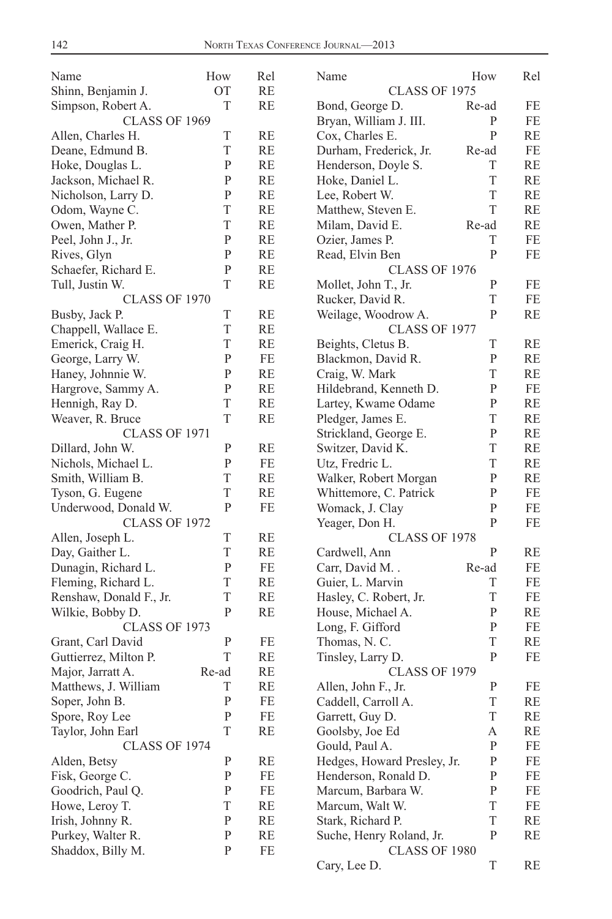| Name                    | How          | Rel       | Name                        | How          | Rel |
|-------------------------|--------------|-----------|-----------------------------|--------------|-----|
| Shinn, Benjamin J.      | OT           | RE        | CLASS OF 1975               |              |     |
| Simpson, Robert A.      | T            | RE        | Bond, George D.             | Re-ad        | FE  |
| <b>CLASS OF 1969</b>    |              |           | Bryan, William J. III.      | P            | FE  |
| Allen, Charles H.       | T            | RE        | Cox, Charles E.             | $\mathbf{P}$ | RE  |
| Deane, Edmund B.        | T            | RE        | Durham, Frederick, Jr.      | Re-ad        | FE  |
| Hoke, Douglas L.        | $\mathbf{P}$ | RE        | Henderson, Doyle S.         | T            | RE  |
| Jackson, Michael R.     | $\mathbf{P}$ | RE        | Hoke, Daniel L.             | T            | RE  |
| Nicholson, Larry D.     | $\, {\bf P}$ | RE        | Lee, Robert W.              | T            | RE  |
| Odom, Wayne C.          | T            | RE        | Matthew, Steven E.          | T            | RE  |
| Owen, Mather P.         | T            | RE        | Milam, David E.             | Re-ad        | RE  |
| Peel, John J., Jr.      | $\mathbf{P}$ | <b>RE</b> | Ozier, James P.             | T            | FE  |
| Rives, Glyn             | $\mathbf{P}$ | RE        | Read, Elvin Ben             | $\mathbf{P}$ | FE  |
| Schaefer, Richard E.    | $\, {\bf P}$ | RE        | CLASS OF 1976               |              |     |
| Tull, Justin W.         | T            | RE        | Mollet, John T., Jr.        | P            | FE  |
| CLASS OF 1970           |              |           | Rucker, David R.            | T            | FE  |
| Busby, Jack P.          | T            | RE        | Weilage, Woodrow A.         | $\mathbf{P}$ | RE  |
| Chappell, Wallace E.    | T            | RE        | CLASS OF 1977               |              |     |
| Emerick, Craig H.       | T            | RE        | Beights, Cletus B.          | T            | RE  |
| George, Larry W.        | $\mathbf{P}$ | FE        | Blackmon, David R.          | P            | RE  |
| Haney, Johnnie W.       | $\, {\bf P}$ | RE        | Craig, W. Mark              | T            | RE  |
| Hargrove, Sammy A.      | $\, {\bf P}$ | RE        | Hildebrand, Kenneth D.      | $\mathbf{P}$ | FE  |
| Hennigh, Ray D.         | T            | RE        | Lartey, Kwame Odame         | P            | RE  |
| Weaver, R. Bruce        | T            | RE        | Pledger, James E.           | T            | RE  |
| <b>CLASS OF 1971</b>    |              |           | Strickland, George E.       | $\mathbf{P}$ | RE  |
| Dillard, John W.        | $\mathbf{P}$ | RE        | Switzer, David K.           | T            | RE  |
| Nichols, Michael L.     | $\mathbf{P}$ | FE        | Utz, Fredric L.             | T            | RE  |
| Smith, William B.       | T            | RE        | Walker, Robert Morgan       | P            | RE  |
| Tyson, G. Eugene        | T            | RE        | Whittemore, C. Patrick      | $\mathbf{P}$ | FE  |
| Underwood, Donald W.    | $\, {\bf P}$ | FE        | Womack, J. Clay             | $\mathbf{P}$ | FE  |
| <b>CLASS OF 1972</b>    |              |           | Yeager, Don H.              | P            | FE  |
| Allen, Joseph L.        | T            | RE        | CLASS OF 1978               |              |     |
| Day, Gaither L.         | T            | RE        | Cardwell, Ann               | P            | RE  |
| Dunagin, Richard L.     | $\, {\bf P}$ | FE        | Carr, David M               | Re-ad        | FE  |
| Fleming, Richard L.     | T            | RE        | Guier, L. Marvin            | T            | FE  |
| Renshaw, Donald F., Jr. | T            | RE        | Hasley, C. Robert, Jr.      | T            | FE  |
| Wilkie, Bobby D.        | ${\bf P}$    | RE        | House, Michael A.           | $\mathbf{P}$ | RE  |
| CLASS OF 1973           |              |           | Long, F. Gifford            | $\mathbf{P}$ | FE  |
| Grant, Carl David       | $\mathbf{P}$ | FE        | Thomas, N. C.               | T            | RE  |
| Guttierrez, Milton P.   | T            | RE        | Tinsley, Larry D.           | P            | FE  |
| Major, Jarratt A.       | Re-ad        | RE        | <b>CLASS OF 1979</b>        |              |     |
| Matthews, J. William    | T            | <b>RE</b> | Allen, John F., Jr.         | $\, {\bf P}$ | FE  |
| Soper, John B.          | $\mathbf{P}$ | FE.       | Caddell, Carroll A.         | T            | RE  |
| Spore, Roy Lee          | P            | FE        | Garrett, Guy D.             | T            | RE  |
| Taylor, John Earl       | T            | RE        | Goolsby, Joe Ed             | А            | RE  |
| CLASS OF 1974           |              |           | Gould, Paul A.              | $\mathbf{P}$ | FE  |
| Alden, Betsy            | P            | RE        | Hedges, Howard Presley, Jr. | P            | FE  |
| Fisk, George C.         | P            | FE        | Henderson, Ronald D.        | P            | FE  |
| Goodrich, Paul Q.       | P            | FE        | Marcum, Barbara W.          | P            | FE  |
| Howe, Leroy T.          | T            | RE        | Marcum, Walt W.             | T            | FE  |
| Irish, Johnny R.        | P            | RE        | Stark, Richard P.           | T            | RE  |
| Purkey, Walter R.       | P            | RE        | Suche, Henry Roland, Jr.    | P            | RE  |
| Shaddox, Billy M.       | P            | FE        | CLASS OF 1980               |              |     |
|                         |              |           | Cary, Lee D.                | T            | RE  |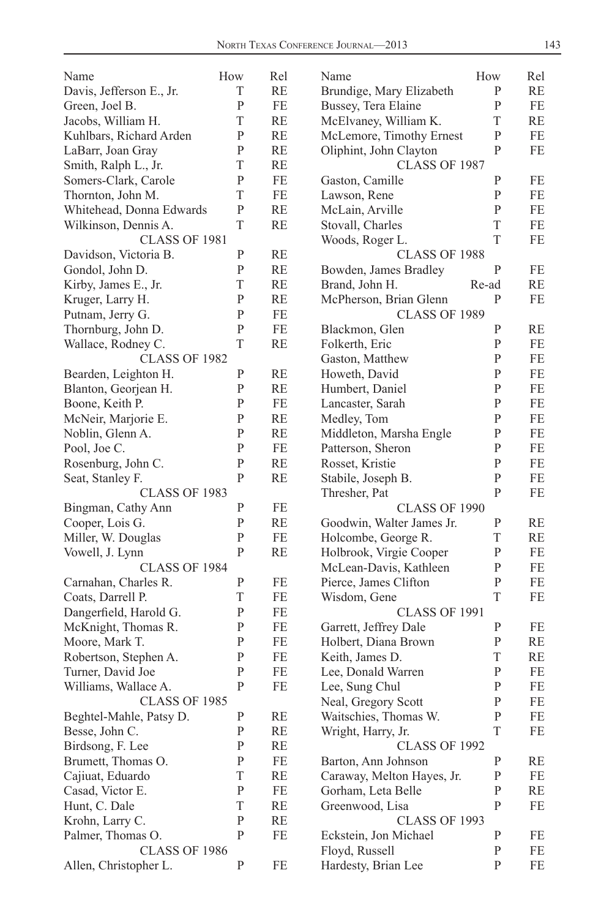| Name                     | How          | Rel       | Name                       | How          | Rel       |
|--------------------------|--------------|-----------|----------------------------|--------------|-----------|
| Davis, Jefferson E., Jr. | T            | RE        | Brundige, Mary Elizabeth   | P            | RE        |
| Green, Joel B.           | P            | $FE$      | Bussey, Tera Elaine        | P            | FE        |
| Jacobs, William H.       | T            | RE        | McElvaney, William K.      | T            | <b>RE</b> |
| Kuhlbars, Richard Arden  | $\mathbf{P}$ | RE        | McLemore, Timothy Ernest   | P            | FE        |
| LaBarr, Joan Gray        | P            | RE        | Oliphint, John Clayton     | P            | FE        |
| Smith, Ralph L., Jr.     | T            | RE        | CLASS OF 1987              |              |           |
| Somers-Clark, Carole     | $\mathbf{P}$ | FE        | Gaston, Camille            | P            | FE        |
| Thornton, John M.        | T            | FE        | Lawson, Rene               | P            | FE        |
| Whitehead, Donna Edwards | P            | RE        | McLain, Arville            | P            | FE        |
| Wilkinson, Dennis A.     | T            | <b>RE</b> | Stovall, Charles           | T            | FE        |
| <b>CLASS OF 1981</b>     |              |           | Woods, Roger L.            | T            | FE        |
| Davidson, Victoria B.    | P            | RE        | CLASS OF 1988              |              |           |
| Gondol, John D.          | P            | RE        | Bowden, James Bradley      | P            | FE        |
| Kirby, James E., Jr.     | T            | RE        | Brand, John H.             | Re-ad        | <b>RE</b> |
| Kruger, Larry H.         | $\mathbf{P}$ | RE        | McPherson, Brian Glenn     | P            | FE        |
| Putnam, Jerry G.         | P            | FE        | <b>CLASS OF 1989</b>       |              |           |
| Thornburg, John D.       | $\mathbf{P}$ | FE        | Blackmon, Glen             | P            | RE        |
| Wallace, Rodney C.       | T            | <b>RE</b> | Folkerth, Eric             | P            | FE        |
| CLASS OF 1982            |              |           | Gaston, Matthew            | P            | FE        |
| Bearden, Leighton H.     | P            | RE        | Howeth, David              | P            | FE        |
| Blanton, Georjean H.     | P            | RE        | Humbert, Daniel            | P            | FE        |
| Boone, Keith P.          | P            | FE        | Lancaster, Sarah           | P            | FE        |
| McNeir, Marjorie E.      | P            | RE        | Medley, Tom                | $\mathbf{P}$ | FE        |
| Noblin, Glenn A.         | P            | RE        | Middleton, Marsha Engle    | P            | FE        |
| Pool, Joe C.             | P            | FE        | Patterson, Sheron          | P            | FE        |
| Rosenburg, John C.       | P            | RE        | Rosset, Kristie            | P            | FE        |
| Seat, Stanley F.         | P            | RE        | Stabile, Joseph B.         | $\mathbf{P}$ | FE        |
| CLASS OF 1983            |              |           | Thresher, Pat              | P            | FE        |
| Bingman, Cathy Ann       | P            | FE        | <b>CLASS OF 1990</b>       |              |           |
| Cooper, Lois G.          | P            | RE        | Goodwin, Walter James Jr.  | P            | RE        |
| Miller, W. Douglas       | P            | FE        | Holcombe, George R.        | T            | RE        |
| Vowell, J. Lynn          | P            | RE        | Holbrook, Virgie Cooper    | P            | FE        |
| CLASS OF 1984            |              |           | McLean-Davis, Kathleen     | P            | FE        |
| Carnahan, Charles R.     | P            | FE        | Pierce, James Clifton      | $\mathbf{P}$ | FE        |
| Coats, Darrell P.        | T            | FE        | Wisdom, Gene               | T            | FE        |
| Dangerfield, Harold G.   | P            | FE        | <b>CLASS OF 1991</b>       |              |           |
| McKnight, Thomas R.      | P            | FE        | Garrett, Jeffrey Dale      | P            | FE        |
| Moore, Mark T.           | P            | FE        | Holbert, Diana Brown       | P            | <b>RE</b> |
| Robertson, Stephen A.    | P            | FE        | Keith, James D.            | T            | <b>RE</b> |
| Turner, David Joe        | P            | FE        | Lee, Donald Warren         | P            | FE        |
| Williams, Wallace A.     | P            | FE        | Lee, Sung Chul             | P            | FE        |
| CLASS OF 1985            |              |           | Neal, Gregory Scott        | ${\bf P}$    | $\rm FE$  |
| Beghtel-Mahle, Patsy D.  | $\mathbf{P}$ | RE        | Waitschies, Thomas W.      | $\mathbf P$  | FE        |
| Besse, John C.           | $\mathbf{P}$ | RE        | Wright, Harry, Jr.         | T            | FE        |
| Birdsong, F. Lee         | P            | RE        | CLASS OF 1992              |              |           |
| Brumett, Thomas O.       | $\mathbf{P}$ | FE        | Barton, Ann Johnson        | P            | RE        |
| Cajiuat, Eduardo         | $\mathbf T$  | RE        | Caraway, Melton Hayes, Jr. | $\mathbf P$  | FE        |
| Casad, Victor E.         | P            | FE        | Gorham, Leta Belle         | P            | RE        |
| Hunt, C. Dale            | T            | RE        | Greenwood, Lisa            | P            | FE        |
| Krohn, Larry C.          | $\mathbf{P}$ | RE        | <b>CLASS OF 1993</b>       |              |           |
| Palmer, Thomas O.        | $\mathbf{P}$ | FE        | Eckstein, Jon Michael      | $\mathbf{P}$ | FE        |
| CLASS OF 1986            |              |           | Floyd, Russell             | P            | FE        |
| Allen, Christopher L.    | P            | FE        | Hardesty, Brian Lee        | P            | FE        |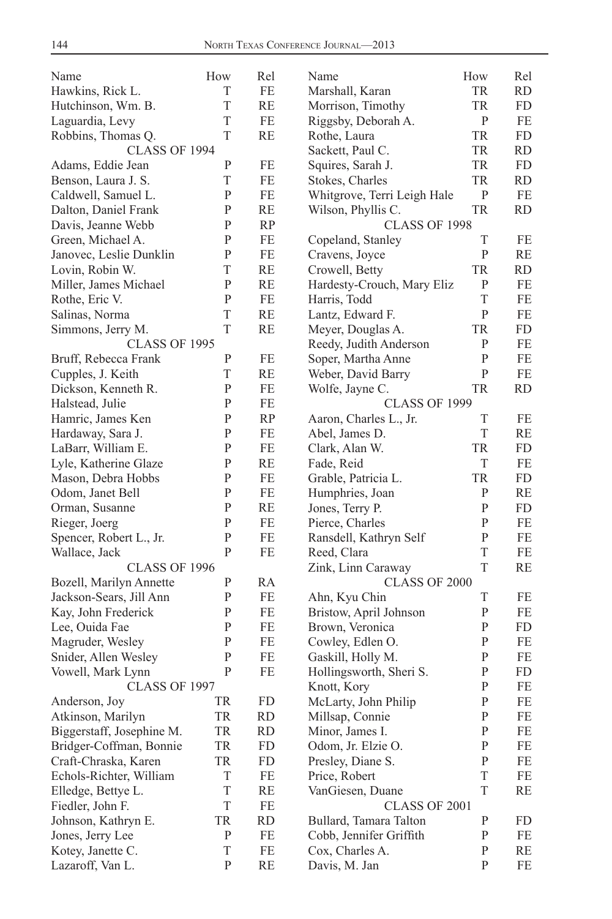| Name                                      | How               | Rel       | Name                                     | How          | Rel       |
|-------------------------------------------|-------------------|-----------|------------------------------------------|--------------|-----------|
| Hawkins, Rick L.                          | T                 | FE        | Marshall, Karan                          | TR           | <b>RD</b> |
| Hutchinson, Wm. B.                        | T                 | RE        | Morrison, Timothy                        | TR           | FD        |
| Laguardia, Levy                           | T                 | $\rm FE$  | Riggsby, Deborah A.                      | $\mathbf{P}$ | FE        |
| Robbins, Thomas Q.                        | T                 | RE        | Rothe, Laura                             | TR           | FD        |
| CLASS OF 1994                             |                   |           | Sackett, Paul C.                         | TR           | RD        |
| Adams, Eddie Jean                         | P                 | FE        | Squires, Sarah J.                        | <b>TR</b>    | FD        |
| Benson, Laura J. S.                       | T                 | FE        | Stokes, Charles                          | TR           | <b>RD</b> |
| Caldwell, Samuel L.                       | $\mathbf{P}$      | FE        | Whitgrove, Terri Leigh Hale              | P            | FE        |
| Dalton, Daniel Frank                      | P                 | RE        | Wilson, Phyllis C.                       | TR           | <b>RD</b> |
| Davis, Jeanne Webb                        | P                 | <b>RP</b> | CLASS OF 1998                            |              |           |
| Green, Michael A.                         | $\mathbf{P}$      | FE        | Copeland, Stanley                        | T            | FE        |
| Janovec, Leslie Dunklin                   | $\mathbf{P}$      | FE        | Cravens, Joyce                           | $\mathbf{P}$ | RE        |
| Lovin, Robin W.                           | T                 | RE        | Crowell, Betty                           | <b>TR</b>    | RD        |
| Miller, James Michael                     | P                 | RE        | Hardesty-Crouch, Mary Eliz               | P            | FE        |
| Rothe, Eric V.                            | $\mathbf{P}$      | $FE$      | Harris, Todd                             | T            | FE        |
| Salinas, Norma                            | T                 | RE        | Lantz, Edward F.                         | $\mathbf{P}$ | FE        |
| Simmons, Jerry M.                         | T                 | RE        | Meyer, Douglas A.                        | <b>TR</b>    | FD        |
| CLASS OF 1995                             |                   |           | Reedy, Judith Anderson                   | P            | FE        |
|                                           | P                 | FE        |                                          | $\mathbf{P}$ | FE        |
| Bruff, Rebecca Frank<br>Cupples, J. Keith | T                 | RE        | Soper, Martha Anne<br>Weber, David Barry | ${\bf P}$    | FE        |
|                                           | P                 | FE        |                                          |              | RD        |
| Dickson, Kenneth R.                       |                   |           | Wolfe, Jayne C.                          | TR           |           |
| Halstead, Julie                           | P<br>$\mathbf{P}$ | FE        | CLASS OF 1999                            |              |           |
| Hamric, James Ken                         |                   | RP        | Aaron, Charles L., Jr.                   | T            | FE        |
| Hardaway, Sara J.                         | $\mathbf{P}$      | FE        | Abel, James D.                           | T            | RE        |
| LaBarr, William E.                        | P                 | FE        | Clark, Alan W.                           | <b>TR</b>    | FD        |
| Lyle, Katherine Glaze                     | P                 | <b>RE</b> | Fade, Reid                               | T            | FE        |
| Mason, Debra Hobbs                        | P                 | FE        | Grable, Patricia L.                      | TR           | FD        |
| Odom, Janet Bell                          | $\mathbf{P}$      | FE        | Humphries, Joan                          | $\mathbf{P}$ | RE        |
| Orman, Susanne                            | P                 | RE        | Jones, Terry P.                          | $\mathbf{P}$ | FD        |
| Rieger, Joerg                             | P                 | FE        | Pierce, Charles                          | P            | FE        |
| Spencer, Robert L., Jr.                   | P                 | FE        | Ransdell, Kathryn Self                   | ${\bf P}$    | FE        |
| Wallace, Jack                             | P                 | FE        | Reed, Clara                              | T            | FE        |
| <b>CLASS OF 1996</b>                      |                   |           | Zink, Linn Caraway                       | $\mathbf T$  | RE        |
| Bozell, Marilyn Annette                   | P                 | RA        | CLASS OF 2000                            |              |           |
| Jackson-Sears, Jill Ann                   | P                 | FE        | Ahn, Kyu Chin                            | T            | FE        |
| Kay, John Frederick                       | P                 | FE        | Bristow, April Johnson                   | $\mathbf{P}$ | FE        |
| Lee, Ouida Fae                            | P                 | FE        | Brown, Veronica                          | P            | FD        |
| Magruder, Wesley                          | P                 | FE        | Cowley, Edlen O.                         | P            | FE        |
| Snider, Allen Wesley                      | P                 | FE        | Gaskill, Holly M.                        | ${\bf P}$    | FE        |
| Vowell, Mark Lynn                         | P                 | FE        | Hollingsworth, Sheri S.                  | ${\bf P}$    | FD        |
| CLASS OF 1997                             |                   |           | Knott, Kory                              | $\mathbf{P}$ | FE        |
| Anderson, Joy                             | TR                | FD        | McLarty, John Philip                     | P            | FE        |
| Atkinson, Marilyn                         | TR                | <b>RD</b> | Millsap, Connie                          | P            | FE        |
| Biggerstaff, Josephine M.                 | TR                | RD        | Minor, James I.                          | P            | FE        |
| Bridger-Coffman, Bonnie                   | TR                | FD        | Odom, Jr. Elzie O.                       | $\mathbf P$  | FE        |
| Craft-Chraska, Karen                      | TR                | FD        | Presley, Diane S.                        | P            | FE        |
| Echols-Richter, William                   | T                 | FE        | Price, Robert                            | T            | FE        |
| Elledge, Bettye L.                        | T                 | RE        | VanGiesen, Duane                         | $\mathbf T$  | RE        |
| Fiedler, John F.                          | T                 | FE        | CLASS OF 2001                            |              |           |
| Johnson, Kathryn E.                       | TR                | <b>RD</b> | Bullard, Tamara Talton                   | P            | FD        |
| Jones, Jerry Lee                          | ${\bf P}$         | $\rm FE$  | Cobb, Jennifer Griffith                  | P            | FE        |
| Kotey, Janette C.                         | T                 | FE        | Cox, Charles A.                          | P            | RE        |
| Lazaroff, Van L.                          | $\mathbf{P}$      | RE        | Davis, M. Jan                            | P            | FE        |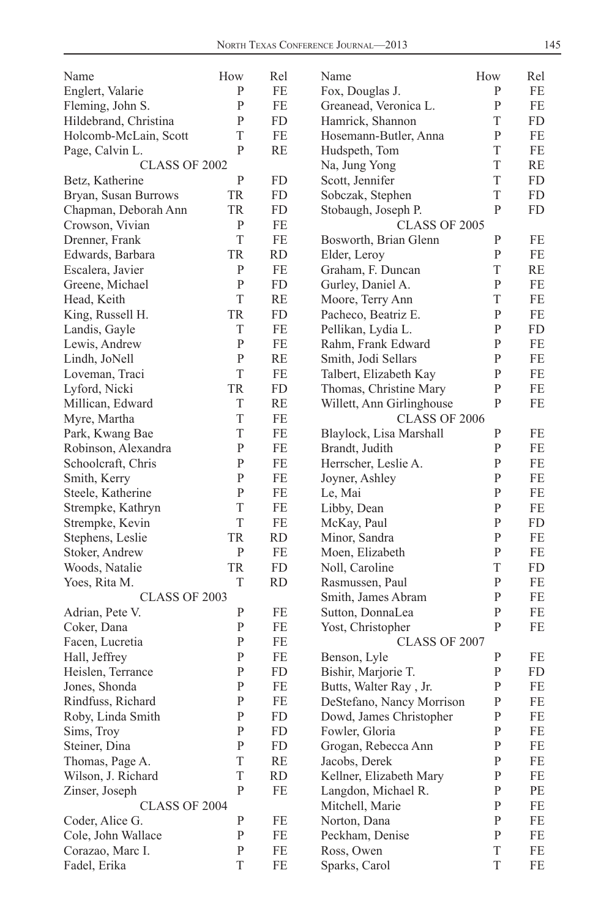| $\mathbf{P}$<br>FE<br>P<br>FE<br>Englert, Valarie<br>Fox, Douglas J.<br>P<br>FE<br>Greanead, Veronica L.<br>P<br>FE<br>Fleming, John S.<br>$\mathbf{P}$<br><b>FD</b><br>Hamrick, Shannon<br>T<br>FD<br>Hildebrand, Christina<br>T<br>FE<br>P<br>FE<br>Holcomb-McLain, Scott<br>Hosemann-Butler, Anna<br>RE<br>T<br>P<br>FE<br>Page, Calvin L.<br>Hudspeth, Tom<br>T<br>RE<br>CLASS OF 2002<br>Na, Jung Yong<br>$\mathbf{P}$<br>T<br>Scott, Jennifer<br>FD<br>Betz, Katherine<br>FD<br>T<br><b>FD</b><br>Bryan, Susan Burrows<br>TR<br>Sobczak, Stephen<br>FD<br>$\mathbf{P}$<br>TR<br><b>FD</b><br>FD<br>Chapman, Deborah Ann<br>Stobaugh, Joseph P.<br>$\mathbf{P}$<br>FE<br>Crowson, Vivian<br>CLASS OF 2005<br>T<br>FE<br>P<br>FE<br>Drenner, Frank<br>Bosworth, Brian Glenn<br>TR<br><b>RD</b><br>P<br>FE<br>Edwards, Barbara<br>Elder, Leroy<br>$\mathbf{P}$<br>FE<br>Escalera, Javier<br>Graham, F. Duncan<br>T<br>RE<br>$\mathbf{P}$<br>$\mathbf{P}$<br>Greene, Michael<br><b>FD</b><br>Gurley, Daniel A.<br>FE<br>T<br><b>RE</b><br>T<br>FE<br>Head, Keith<br>Moore, Terry Ann<br>TR<br><b>FD</b><br>P<br>King, Russell H.<br>Pacheco, Beatriz E.<br>FE<br>T<br>${\bf P}$<br>Landis, Gayle<br>FE<br>FD<br>Pellikan, Lydia L.<br>$\mathbf{P}$<br>${\bf P}$<br>FE<br>FE<br>Lewis, Andrew<br>Rahm, Frank Edward<br>$\mathbf{P}$<br><b>RE</b><br>Smith, Jodi Sellars<br>$\mathbf{P}$<br>FE<br>Lindh, JoNell<br>T<br>FE<br>Talbert, Elizabeth Kay<br>P<br>FE<br>Loveman, Traci<br>${\bf P}$<br>Lyford, Nicki<br>TR<br><b>FD</b><br>FE<br>Thomas, Christine Mary<br>T<br>${\bf P}$<br>Millican, Edward<br>RE<br>FE<br>Willett, Ann Girlinghouse<br>T<br>FE<br>CLASS OF 2006<br>Myre, Martha<br>T<br>FE<br>$\mathbf{P}$<br>Park, Kwang Bae<br>Blaylock, Lisa Marshall<br>FE<br>$\mathbf{P}$<br>FE<br>Robinson, Alexandra<br>Brandt, Judith<br>$\mathbf{P}$<br>FE<br>$\mathbf{P}$<br>${\bf P}$<br>Schoolcraft, Chris<br>FE<br>Herrscher, Leslie A.<br>FE<br>P<br>FE<br>$\mathbf{P}$<br>FE<br>Smith, Kerry<br>Joyner, Ashley<br>P<br>FE<br>P<br>FE<br>Steele, Katherine<br>Le, Mai<br>T<br>$\mathbf{P}$<br>FE<br>FE<br>Strempke, Kathryn<br>Libby, Dean<br>$\mathbf T$<br>${\bf P}$<br>FE<br>McKay, Paul<br>${\rm FD}$<br>Strempke, Kevin<br>Stephens, Leslie<br><b>TR</b><br><b>RD</b><br>Minor, Sandra<br>P<br>FE<br>Stoker, Andrew<br>P<br>FE<br>Moen, Elizabeth<br>P<br>FE<br>TR<br>T<br><b>FD</b><br>FD<br>Woods, Natalie<br>Noll, Caroline<br>T<br>${\bf P}$<br><b>RD</b><br>FE<br>Yoes, Rita M.<br>Rasmussen, Paul<br>CLASS OF 2003<br>Smith, James Abram<br>$\mathbf{P}$<br>FE<br>FE<br>Sutton, DonnaLea<br>P<br>Adrian, Pete V.<br>P<br>FE<br>$\mathbf{P}$<br>P<br>FE<br>FE<br>Coker, Dana<br>Yost, Christopher<br>P<br>FE<br>Facen, Lucretia<br>CLASS OF 2007<br>P<br>FE<br>P<br>Hall, Jeffrey<br>Benson, Lyle<br>FE<br>P<br>FD<br>Heislen, Terrance<br>Bishir, Marjorie T.<br>P<br>FD<br>$\mathbf{P}$<br>$\mathbf{P}$<br>Jones, Shonda<br>FE<br>FE<br>Butts, Walter Ray, Jr.<br>$\rm FE$<br>${\bf P}$<br>FE<br>${\bf P}$<br>Rindfuss, Richard<br>DeStefano, Nancy Morrison<br>$\mathbf{P}$<br>Roby, Linda Smith<br>FD<br>Dowd, James Christopher<br>P<br>FE<br><b>FD</b><br>Fowler, Gloria<br>Sims, Troy<br>P<br>P<br>FE<br>$\mathbf{P}$<br>FD<br>Grogan, Rebecca Ann<br>$\mathbf{P}$<br>Steiner, Dina<br>FE<br>T<br>RE<br>Jacobs, Derek<br>P<br>FE<br>Thomas, Page A.<br>Wilson, J. Richard<br>T<br><b>RD</b><br>Kellner, Elizabeth Mary<br>P<br>FE<br>P<br>FE<br>Langdon, Michael R.<br>Zinser, Joseph<br>P<br>PE<br>P<br>CLASS OF 2004<br>Mitchell, Marie<br>FE<br>$\mathbf{P}$<br>P<br>Coder, Alice G.<br>FE<br>Norton, Dana<br>FE<br>Peckham, Denise<br>$\mathbf{P}$<br>Cole, John Wallace<br>P<br>FE<br>FE<br>Corazao, Marc I.<br>FE<br>T<br>P<br>Ross, Owen<br>FE<br>T | Name         | How | Rel | Name          | How | Rel |
|-----------------------------------------------------------------------------------------------------------------------------------------------------------------------------------------------------------------------------------------------------------------------------------------------------------------------------------------------------------------------------------------------------------------------------------------------------------------------------------------------------------------------------------------------------------------------------------------------------------------------------------------------------------------------------------------------------------------------------------------------------------------------------------------------------------------------------------------------------------------------------------------------------------------------------------------------------------------------------------------------------------------------------------------------------------------------------------------------------------------------------------------------------------------------------------------------------------------------------------------------------------------------------------------------------------------------------------------------------------------------------------------------------------------------------------------------------------------------------------------------------------------------------------------------------------------------------------------------------------------------------------------------------------------------------------------------------------------------------------------------------------------------------------------------------------------------------------------------------------------------------------------------------------------------------------------------------------------------------------------------------------------------------------------------------------------------------------------------------------------------------------------------------------------------------------------------------------------------------------------------------------------------------------------------------------------------------------------------------------------------------------------------------------------------------------------------------------------------------------------------------------------------------------------------------------------------------------------------------------------------------------------------------------------------------------------------------------------------------------------------------------------------------------------------------------------------------------------------------------------------------------------------------------------------------------------------------------------------------------------------------------------------------------------------------------------------------------------------------------------------------------------------------------------------------------------------------------------------------------------------------------------------------------------------------------------------------------------------------------------------------------------------------------------------------------------------------------------------------------------------------------------------------------------------------------------------------------------------------------------------------------------------------------------------------------------------------------------------------------------------------------------------------------------|--------------|-----|-----|---------------|-----|-----|
|                                                                                                                                                                                                                                                                                                                                                                                                                                                                                                                                                                                                                                                                                                                                                                                                                                                                                                                                                                                                                                                                                                                                                                                                                                                                                                                                                                                                                                                                                                                                                                                                                                                                                                                                                                                                                                                                                                                                                                                                                                                                                                                                                                                                                                                                                                                                                                                                                                                                                                                                                                                                                                                                                                                                                                                                                                                                                                                                                                                                                                                                                                                                                                                                                                                                                                                                                                                                                                                                                                                                                                                                                                                                                                                                                                                         |              |     |     |               |     |     |
|                                                                                                                                                                                                                                                                                                                                                                                                                                                                                                                                                                                                                                                                                                                                                                                                                                                                                                                                                                                                                                                                                                                                                                                                                                                                                                                                                                                                                                                                                                                                                                                                                                                                                                                                                                                                                                                                                                                                                                                                                                                                                                                                                                                                                                                                                                                                                                                                                                                                                                                                                                                                                                                                                                                                                                                                                                                                                                                                                                                                                                                                                                                                                                                                                                                                                                                                                                                                                                                                                                                                                                                                                                                                                                                                                                                         |              |     |     |               |     |     |
|                                                                                                                                                                                                                                                                                                                                                                                                                                                                                                                                                                                                                                                                                                                                                                                                                                                                                                                                                                                                                                                                                                                                                                                                                                                                                                                                                                                                                                                                                                                                                                                                                                                                                                                                                                                                                                                                                                                                                                                                                                                                                                                                                                                                                                                                                                                                                                                                                                                                                                                                                                                                                                                                                                                                                                                                                                                                                                                                                                                                                                                                                                                                                                                                                                                                                                                                                                                                                                                                                                                                                                                                                                                                                                                                                                                         |              |     |     |               |     |     |
|                                                                                                                                                                                                                                                                                                                                                                                                                                                                                                                                                                                                                                                                                                                                                                                                                                                                                                                                                                                                                                                                                                                                                                                                                                                                                                                                                                                                                                                                                                                                                                                                                                                                                                                                                                                                                                                                                                                                                                                                                                                                                                                                                                                                                                                                                                                                                                                                                                                                                                                                                                                                                                                                                                                                                                                                                                                                                                                                                                                                                                                                                                                                                                                                                                                                                                                                                                                                                                                                                                                                                                                                                                                                                                                                                                                         |              |     |     |               |     |     |
|                                                                                                                                                                                                                                                                                                                                                                                                                                                                                                                                                                                                                                                                                                                                                                                                                                                                                                                                                                                                                                                                                                                                                                                                                                                                                                                                                                                                                                                                                                                                                                                                                                                                                                                                                                                                                                                                                                                                                                                                                                                                                                                                                                                                                                                                                                                                                                                                                                                                                                                                                                                                                                                                                                                                                                                                                                                                                                                                                                                                                                                                                                                                                                                                                                                                                                                                                                                                                                                                                                                                                                                                                                                                                                                                                                                         |              |     |     |               |     |     |
|                                                                                                                                                                                                                                                                                                                                                                                                                                                                                                                                                                                                                                                                                                                                                                                                                                                                                                                                                                                                                                                                                                                                                                                                                                                                                                                                                                                                                                                                                                                                                                                                                                                                                                                                                                                                                                                                                                                                                                                                                                                                                                                                                                                                                                                                                                                                                                                                                                                                                                                                                                                                                                                                                                                                                                                                                                                                                                                                                                                                                                                                                                                                                                                                                                                                                                                                                                                                                                                                                                                                                                                                                                                                                                                                                                                         |              |     |     |               |     |     |
|                                                                                                                                                                                                                                                                                                                                                                                                                                                                                                                                                                                                                                                                                                                                                                                                                                                                                                                                                                                                                                                                                                                                                                                                                                                                                                                                                                                                                                                                                                                                                                                                                                                                                                                                                                                                                                                                                                                                                                                                                                                                                                                                                                                                                                                                                                                                                                                                                                                                                                                                                                                                                                                                                                                                                                                                                                                                                                                                                                                                                                                                                                                                                                                                                                                                                                                                                                                                                                                                                                                                                                                                                                                                                                                                                                                         |              |     |     |               |     |     |
|                                                                                                                                                                                                                                                                                                                                                                                                                                                                                                                                                                                                                                                                                                                                                                                                                                                                                                                                                                                                                                                                                                                                                                                                                                                                                                                                                                                                                                                                                                                                                                                                                                                                                                                                                                                                                                                                                                                                                                                                                                                                                                                                                                                                                                                                                                                                                                                                                                                                                                                                                                                                                                                                                                                                                                                                                                                                                                                                                                                                                                                                                                                                                                                                                                                                                                                                                                                                                                                                                                                                                                                                                                                                                                                                                                                         |              |     |     |               |     |     |
|                                                                                                                                                                                                                                                                                                                                                                                                                                                                                                                                                                                                                                                                                                                                                                                                                                                                                                                                                                                                                                                                                                                                                                                                                                                                                                                                                                                                                                                                                                                                                                                                                                                                                                                                                                                                                                                                                                                                                                                                                                                                                                                                                                                                                                                                                                                                                                                                                                                                                                                                                                                                                                                                                                                                                                                                                                                                                                                                                                                                                                                                                                                                                                                                                                                                                                                                                                                                                                                                                                                                                                                                                                                                                                                                                                                         |              |     |     |               |     |     |
|                                                                                                                                                                                                                                                                                                                                                                                                                                                                                                                                                                                                                                                                                                                                                                                                                                                                                                                                                                                                                                                                                                                                                                                                                                                                                                                                                                                                                                                                                                                                                                                                                                                                                                                                                                                                                                                                                                                                                                                                                                                                                                                                                                                                                                                                                                                                                                                                                                                                                                                                                                                                                                                                                                                                                                                                                                                                                                                                                                                                                                                                                                                                                                                                                                                                                                                                                                                                                                                                                                                                                                                                                                                                                                                                                                                         |              |     |     |               |     |     |
|                                                                                                                                                                                                                                                                                                                                                                                                                                                                                                                                                                                                                                                                                                                                                                                                                                                                                                                                                                                                                                                                                                                                                                                                                                                                                                                                                                                                                                                                                                                                                                                                                                                                                                                                                                                                                                                                                                                                                                                                                                                                                                                                                                                                                                                                                                                                                                                                                                                                                                                                                                                                                                                                                                                                                                                                                                                                                                                                                                                                                                                                                                                                                                                                                                                                                                                                                                                                                                                                                                                                                                                                                                                                                                                                                                                         |              |     |     |               |     |     |
|                                                                                                                                                                                                                                                                                                                                                                                                                                                                                                                                                                                                                                                                                                                                                                                                                                                                                                                                                                                                                                                                                                                                                                                                                                                                                                                                                                                                                                                                                                                                                                                                                                                                                                                                                                                                                                                                                                                                                                                                                                                                                                                                                                                                                                                                                                                                                                                                                                                                                                                                                                                                                                                                                                                                                                                                                                                                                                                                                                                                                                                                                                                                                                                                                                                                                                                                                                                                                                                                                                                                                                                                                                                                                                                                                                                         |              |     |     |               |     |     |
|                                                                                                                                                                                                                                                                                                                                                                                                                                                                                                                                                                                                                                                                                                                                                                                                                                                                                                                                                                                                                                                                                                                                                                                                                                                                                                                                                                                                                                                                                                                                                                                                                                                                                                                                                                                                                                                                                                                                                                                                                                                                                                                                                                                                                                                                                                                                                                                                                                                                                                                                                                                                                                                                                                                                                                                                                                                                                                                                                                                                                                                                                                                                                                                                                                                                                                                                                                                                                                                                                                                                                                                                                                                                                                                                                                                         |              |     |     |               |     |     |
|                                                                                                                                                                                                                                                                                                                                                                                                                                                                                                                                                                                                                                                                                                                                                                                                                                                                                                                                                                                                                                                                                                                                                                                                                                                                                                                                                                                                                                                                                                                                                                                                                                                                                                                                                                                                                                                                                                                                                                                                                                                                                                                                                                                                                                                                                                                                                                                                                                                                                                                                                                                                                                                                                                                                                                                                                                                                                                                                                                                                                                                                                                                                                                                                                                                                                                                                                                                                                                                                                                                                                                                                                                                                                                                                                                                         |              |     |     |               |     |     |
|                                                                                                                                                                                                                                                                                                                                                                                                                                                                                                                                                                                                                                                                                                                                                                                                                                                                                                                                                                                                                                                                                                                                                                                                                                                                                                                                                                                                                                                                                                                                                                                                                                                                                                                                                                                                                                                                                                                                                                                                                                                                                                                                                                                                                                                                                                                                                                                                                                                                                                                                                                                                                                                                                                                                                                                                                                                                                                                                                                                                                                                                                                                                                                                                                                                                                                                                                                                                                                                                                                                                                                                                                                                                                                                                                                                         |              |     |     |               |     |     |
|                                                                                                                                                                                                                                                                                                                                                                                                                                                                                                                                                                                                                                                                                                                                                                                                                                                                                                                                                                                                                                                                                                                                                                                                                                                                                                                                                                                                                                                                                                                                                                                                                                                                                                                                                                                                                                                                                                                                                                                                                                                                                                                                                                                                                                                                                                                                                                                                                                                                                                                                                                                                                                                                                                                                                                                                                                                                                                                                                                                                                                                                                                                                                                                                                                                                                                                                                                                                                                                                                                                                                                                                                                                                                                                                                                                         |              |     |     |               |     |     |
|                                                                                                                                                                                                                                                                                                                                                                                                                                                                                                                                                                                                                                                                                                                                                                                                                                                                                                                                                                                                                                                                                                                                                                                                                                                                                                                                                                                                                                                                                                                                                                                                                                                                                                                                                                                                                                                                                                                                                                                                                                                                                                                                                                                                                                                                                                                                                                                                                                                                                                                                                                                                                                                                                                                                                                                                                                                                                                                                                                                                                                                                                                                                                                                                                                                                                                                                                                                                                                                                                                                                                                                                                                                                                                                                                                                         |              |     |     |               |     |     |
|                                                                                                                                                                                                                                                                                                                                                                                                                                                                                                                                                                                                                                                                                                                                                                                                                                                                                                                                                                                                                                                                                                                                                                                                                                                                                                                                                                                                                                                                                                                                                                                                                                                                                                                                                                                                                                                                                                                                                                                                                                                                                                                                                                                                                                                                                                                                                                                                                                                                                                                                                                                                                                                                                                                                                                                                                                                                                                                                                                                                                                                                                                                                                                                                                                                                                                                                                                                                                                                                                                                                                                                                                                                                                                                                                                                         |              |     |     |               |     |     |
|                                                                                                                                                                                                                                                                                                                                                                                                                                                                                                                                                                                                                                                                                                                                                                                                                                                                                                                                                                                                                                                                                                                                                                                                                                                                                                                                                                                                                                                                                                                                                                                                                                                                                                                                                                                                                                                                                                                                                                                                                                                                                                                                                                                                                                                                                                                                                                                                                                                                                                                                                                                                                                                                                                                                                                                                                                                                                                                                                                                                                                                                                                                                                                                                                                                                                                                                                                                                                                                                                                                                                                                                                                                                                                                                                                                         |              |     |     |               |     |     |
|                                                                                                                                                                                                                                                                                                                                                                                                                                                                                                                                                                                                                                                                                                                                                                                                                                                                                                                                                                                                                                                                                                                                                                                                                                                                                                                                                                                                                                                                                                                                                                                                                                                                                                                                                                                                                                                                                                                                                                                                                                                                                                                                                                                                                                                                                                                                                                                                                                                                                                                                                                                                                                                                                                                                                                                                                                                                                                                                                                                                                                                                                                                                                                                                                                                                                                                                                                                                                                                                                                                                                                                                                                                                                                                                                                                         |              |     |     |               |     |     |
|                                                                                                                                                                                                                                                                                                                                                                                                                                                                                                                                                                                                                                                                                                                                                                                                                                                                                                                                                                                                                                                                                                                                                                                                                                                                                                                                                                                                                                                                                                                                                                                                                                                                                                                                                                                                                                                                                                                                                                                                                                                                                                                                                                                                                                                                                                                                                                                                                                                                                                                                                                                                                                                                                                                                                                                                                                                                                                                                                                                                                                                                                                                                                                                                                                                                                                                                                                                                                                                                                                                                                                                                                                                                                                                                                                                         |              |     |     |               |     |     |
|                                                                                                                                                                                                                                                                                                                                                                                                                                                                                                                                                                                                                                                                                                                                                                                                                                                                                                                                                                                                                                                                                                                                                                                                                                                                                                                                                                                                                                                                                                                                                                                                                                                                                                                                                                                                                                                                                                                                                                                                                                                                                                                                                                                                                                                                                                                                                                                                                                                                                                                                                                                                                                                                                                                                                                                                                                                                                                                                                                                                                                                                                                                                                                                                                                                                                                                                                                                                                                                                                                                                                                                                                                                                                                                                                                                         |              |     |     |               |     |     |
|                                                                                                                                                                                                                                                                                                                                                                                                                                                                                                                                                                                                                                                                                                                                                                                                                                                                                                                                                                                                                                                                                                                                                                                                                                                                                                                                                                                                                                                                                                                                                                                                                                                                                                                                                                                                                                                                                                                                                                                                                                                                                                                                                                                                                                                                                                                                                                                                                                                                                                                                                                                                                                                                                                                                                                                                                                                                                                                                                                                                                                                                                                                                                                                                                                                                                                                                                                                                                                                                                                                                                                                                                                                                                                                                                                                         |              |     |     |               |     |     |
|                                                                                                                                                                                                                                                                                                                                                                                                                                                                                                                                                                                                                                                                                                                                                                                                                                                                                                                                                                                                                                                                                                                                                                                                                                                                                                                                                                                                                                                                                                                                                                                                                                                                                                                                                                                                                                                                                                                                                                                                                                                                                                                                                                                                                                                                                                                                                                                                                                                                                                                                                                                                                                                                                                                                                                                                                                                                                                                                                                                                                                                                                                                                                                                                                                                                                                                                                                                                                                                                                                                                                                                                                                                                                                                                                                                         |              |     |     |               |     |     |
|                                                                                                                                                                                                                                                                                                                                                                                                                                                                                                                                                                                                                                                                                                                                                                                                                                                                                                                                                                                                                                                                                                                                                                                                                                                                                                                                                                                                                                                                                                                                                                                                                                                                                                                                                                                                                                                                                                                                                                                                                                                                                                                                                                                                                                                                                                                                                                                                                                                                                                                                                                                                                                                                                                                                                                                                                                                                                                                                                                                                                                                                                                                                                                                                                                                                                                                                                                                                                                                                                                                                                                                                                                                                                                                                                                                         |              |     |     |               |     |     |
|                                                                                                                                                                                                                                                                                                                                                                                                                                                                                                                                                                                                                                                                                                                                                                                                                                                                                                                                                                                                                                                                                                                                                                                                                                                                                                                                                                                                                                                                                                                                                                                                                                                                                                                                                                                                                                                                                                                                                                                                                                                                                                                                                                                                                                                                                                                                                                                                                                                                                                                                                                                                                                                                                                                                                                                                                                                                                                                                                                                                                                                                                                                                                                                                                                                                                                                                                                                                                                                                                                                                                                                                                                                                                                                                                                                         |              |     |     |               |     |     |
|                                                                                                                                                                                                                                                                                                                                                                                                                                                                                                                                                                                                                                                                                                                                                                                                                                                                                                                                                                                                                                                                                                                                                                                                                                                                                                                                                                                                                                                                                                                                                                                                                                                                                                                                                                                                                                                                                                                                                                                                                                                                                                                                                                                                                                                                                                                                                                                                                                                                                                                                                                                                                                                                                                                                                                                                                                                                                                                                                                                                                                                                                                                                                                                                                                                                                                                                                                                                                                                                                                                                                                                                                                                                                                                                                                                         |              |     |     |               |     |     |
|                                                                                                                                                                                                                                                                                                                                                                                                                                                                                                                                                                                                                                                                                                                                                                                                                                                                                                                                                                                                                                                                                                                                                                                                                                                                                                                                                                                                                                                                                                                                                                                                                                                                                                                                                                                                                                                                                                                                                                                                                                                                                                                                                                                                                                                                                                                                                                                                                                                                                                                                                                                                                                                                                                                                                                                                                                                                                                                                                                                                                                                                                                                                                                                                                                                                                                                                                                                                                                                                                                                                                                                                                                                                                                                                                                                         |              |     |     |               |     |     |
|                                                                                                                                                                                                                                                                                                                                                                                                                                                                                                                                                                                                                                                                                                                                                                                                                                                                                                                                                                                                                                                                                                                                                                                                                                                                                                                                                                                                                                                                                                                                                                                                                                                                                                                                                                                                                                                                                                                                                                                                                                                                                                                                                                                                                                                                                                                                                                                                                                                                                                                                                                                                                                                                                                                                                                                                                                                                                                                                                                                                                                                                                                                                                                                                                                                                                                                                                                                                                                                                                                                                                                                                                                                                                                                                                                                         |              |     |     |               |     |     |
|                                                                                                                                                                                                                                                                                                                                                                                                                                                                                                                                                                                                                                                                                                                                                                                                                                                                                                                                                                                                                                                                                                                                                                                                                                                                                                                                                                                                                                                                                                                                                                                                                                                                                                                                                                                                                                                                                                                                                                                                                                                                                                                                                                                                                                                                                                                                                                                                                                                                                                                                                                                                                                                                                                                                                                                                                                                                                                                                                                                                                                                                                                                                                                                                                                                                                                                                                                                                                                                                                                                                                                                                                                                                                                                                                                                         |              |     |     |               |     |     |
|                                                                                                                                                                                                                                                                                                                                                                                                                                                                                                                                                                                                                                                                                                                                                                                                                                                                                                                                                                                                                                                                                                                                                                                                                                                                                                                                                                                                                                                                                                                                                                                                                                                                                                                                                                                                                                                                                                                                                                                                                                                                                                                                                                                                                                                                                                                                                                                                                                                                                                                                                                                                                                                                                                                                                                                                                                                                                                                                                                                                                                                                                                                                                                                                                                                                                                                                                                                                                                                                                                                                                                                                                                                                                                                                                                                         |              |     |     |               |     |     |
|                                                                                                                                                                                                                                                                                                                                                                                                                                                                                                                                                                                                                                                                                                                                                                                                                                                                                                                                                                                                                                                                                                                                                                                                                                                                                                                                                                                                                                                                                                                                                                                                                                                                                                                                                                                                                                                                                                                                                                                                                                                                                                                                                                                                                                                                                                                                                                                                                                                                                                                                                                                                                                                                                                                                                                                                                                                                                                                                                                                                                                                                                                                                                                                                                                                                                                                                                                                                                                                                                                                                                                                                                                                                                                                                                                                         |              |     |     |               |     |     |
|                                                                                                                                                                                                                                                                                                                                                                                                                                                                                                                                                                                                                                                                                                                                                                                                                                                                                                                                                                                                                                                                                                                                                                                                                                                                                                                                                                                                                                                                                                                                                                                                                                                                                                                                                                                                                                                                                                                                                                                                                                                                                                                                                                                                                                                                                                                                                                                                                                                                                                                                                                                                                                                                                                                                                                                                                                                                                                                                                                                                                                                                                                                                                                                                                                                                                                                                                                                                                                                                                                                                                                                                                                                                                                                                                                                         |              |     |     |               |     |     |
|                                                                                                                                                                                                                                                                                                                                                                                                                                                                                                                                                                                                                                                                                                                                                                                                                                                                                                                                                                                                                                                                                                                                                                                                                                                                                                                                                                                                                                                                                                                                                                                                                                                                                                                                                                                                                                                                                                                                                                                                                                                                                                                                                                                                                                                                                                                                                                                                                                                                                                                                                                                                                                                                                                                                                                                                                                                                                                                                                                                                                                                                                                                                                                                                                                                                                                                                                                                                                                                                                                                                                                                                                                                                                                                                                                                         |              |     |     |               |     |     |
|                                                                                                                                                                                                                                                                                                                                                                                                                                                                                                                                                                                                                                                                                                                                                                                                                                                                                                                                                                                                                                                                                                                                                                                                                                                                                                                                                                                                                                                                                                                                                                                                                                                                                                                                                                                                                                                                                                                                                                                                                                                                                                                                                                                                                                                                                                                                                                                                                                                                                                                                                                                                                                                                                                                                                                                                                                                                                                                                                                                                                                                                                                                                                                                                                                                                                                                                                                                                                                                                                                                                                                                                                                                                                                                                                                                         |              |     |     |               |     |     |
|                                                                                                                                                                                                                                                                                                                                                                                                                                                                                                                                                                                                                                                                                                                                                                                                                                                                                                                                                                                                                                                                                                                                                                                                                                                                                                                                                                                                                                                                                                                                                                                                                                                                                                                                                                                                                                                                                                                                                                                                                                                                                                                                                                                                                                                                                                                                                                                                                                                                                                                                                                                                                                                                                                                                                                                                                                                                                                                                                                                                                                                                                                                                                                                                                                                                                                                                                                                                                                                                                                                                                                                                                                                                                                                                                                                         |              |     |     |               |     |     |
|                                                                                                                                                                                                                                                                                                                                                                                                                                                                                                                                                                                                                                                                                                                                                                                                                                                                                                                                                                                                                                                                                                                                                                                                                                                                                                                                                                                                                                                                                                                                                                                                                                                                                                                                                                                                                                                                                                                                                                                                                                                                                                                                                                                                                                                                                                                                                                                                                                                                                                                                                                                                                                                                                                                                                                                                                                                                                                                                                                                                                                                                                                                                                                                                                                                                                                                                                                                                                                                                                                                                                                                                                                                                                                                                                                                         |              |     |     |               |     |     |
|                                                                                                                                                                                                                                                                                                                                                                                                                                                                                                                                                                                                                                                                                                                                                                                                                                                                                                                                                                                                                                                                                                                                                                                                                                                                                                                                                                                                                                                                                                                                                                                                                                                                                                                                                                                                                                                                                                                                                                                                                                                                                                                                                                                                                                                                                                                                                                                                                                                                                                                                                                                                                                                                                                                                                                                                                                                                                                                                                                                                                                                                                                                                                                                                                                                                                                                                                                                                                                                                                                                                                                                                                                                                                                                                                                                         |              |     |     |               |     |     |
|                                                                                                                                                                                                                                                                                                                                                                                                                                                                                                                                                                                                                                                                                                                                                                                                                                                                                                                                                                                                                                                                                                                                                                                                                                                                                                                                                                                                                                                                                                                                                                                                                                                                                                                                                                                                                                                                                                                                                                                                                                                                                                                                                                                                                                                                                                                                                                                                                                                                                                                                                                                                                                                                                                                                                                                                                                                                                                                                                                                                                                                                                                                                                                                                                                                                                                                                                                                                                                                                                                                                                                                                                                                                                                                                                                                         |              |     |     |               |     |     |
|                                                                                                                                                                                                                                                                                                                                                                                                                                                                                                                                                                                                                                                                                                                                                                                                                                                                                                                                                                                                                                                                                                                                                                                                                                                                                                                                                                                                                                                                                                                                                                                                                                                                                                                                                                                                                                                                                                                                                                                                                                                                                                                                                                                                                                                                                                                                                                                                                                                                                                                                                                                                                                                                                                                                                                                                                                                                                                                                                                                                                                                                                                                                                                                                                                                                                                                                                                                                                                                                                                                                                                                                                                                                                                                                                                                         |              |     |     |               |     |     |
|                                                                                                                                                                                                                                                                                                                                                                                                                                                                                                                                                                                                                                                                                                                                                                                                                                                                                                                                                                                                                                                                                                                                                                                                                                                                                                                                                                                                                                                                                                                                                                                                                                                                                                                                                                                                                                                                                                                                                                                                                                                                                                                                                                                                                                                                                                                                                                                                                                                                                                                                                                                                                                                                                                                                                                                                                                                                                                                                                                                                                                                                                                                                                                                                                                                                                                                                                                                                                                                                                                                                                                                                                                                                                                                                                                                         |              |     |     |               |     |     |
|                                                                                                                                                                                                                                                                                                                                                                                                                                                                                                                                                                                                                                                                                                                                                                                                                                                                                                                                                                                                                                                                                                                                                                                                                                                                                                                                                                                                                                                                                                                                                                                                                                                                                                                                                                                                                                                                                                                                                                                                                                                                                                                                                                                                                                                                                                                                                                                                                                                                                                                                                                                                                                                                                                                                                                                                                                                                                                                                                                                                                                                                                                                                                                                                                                                                                                                                                                                                                                                                                                                                                                                                                                                                                                                                                                                         |              |     |     |               |     |     |
|                                                                                                                                                                                                                                                                                                                                                                                                                                                                                                                                                                                                                                                                                                                                                                                                                                                                                                                                                                                                                                                                                                                                                                                                                                                                                                                                                                                                                                                                                                                                                                                                                                                                                                                                                                                                                                                                                                                                                                                                                                                                                                                                                                                                                                                                                                                                                                                                                                                                                                                                                                                                                                                                                                                                                                                                                                                                                                                                                                                                                                                                                                                                                                                                                                                                                                                                                                                                                                                                                                                                                                                                                                                                                                                                                                                         |              |     |     |               |     |     |
|                                                                                                                                                                                                                                                                                                                                                                                                                                                                                                                                                                                                                                                                                                                                                                                                                                                                                                                                                                                                                                                                                                                                                                                                                                                                                                                                                                                                                                                                                                                                                                                                                                                                                                                                                                                                                                                                                                                                                                                                                                                                                                                                                                                                                                                                                                                                                                                                                                                                                                                                                                                                                                                                                                                                                                                                                                                                                                                                                                                                                                                                                                                                                                                                                                                                                                                                                                                                                                                                                                                                                                                                                                                                                                                                                                                         |              |     |     |               |     |     |
|                                                                                                                                                                                                                                                                                                                                                                                                                                                                                                                                                                                                                                                                                                                                                                                                                                                                                                                                                                                                                                                                                                                                                                                                                                                                                                                                                                                                                                                                                                                                                                                                                                                                                                                                                                                                                                                                                                                                                                                                                                                                                                                                                                                                                                                                                                                                                                                                                                                                                                                                                                                                                                                                                                                                                                                                                                                                                                                                                                                                                                                                                                                                                                                                                                                                                                                                                                                                                                                                                                                                                                                                                                                                                                                                                                                         |              |     |     |               |     |     |
|                                                                                                                                                                                                                                                                                                                                                                                                                                                                                                                                                                                                                                                                                                                                                                                                                                                                                                                                                                                                                                                                                                                                                                                                                                                                                                                                                                                                                                                                                                                                                                                                                                                                                                                                                                                                                                                                                                                                                                                                                                                                                                                                                                                                                                                                                                                                                                                                                                                                                                                                                                                                                                                                                                                                                                                                                                                                                                                                                                                                                                                                                                                                                                                                                                                                                                                                                                                                                                                                                                                                                                                                                                                                                                                                                                                         |              |     |     |               |     |     |
|                                                                                                                                                                                                                                                                                                                                                                                                                                                                                                                                                                                                                                                                                                                                                                                                                                                                                                                                                                                                                                                                                                                                                                                                                                                                                                                                                                                                                                                                                                                                                                                                                                                                                                                                                                                                                                                                                                                                                                                                                                                                                                                                                                                                                                                                                                                                                                                                                                                                                                                                                                                                                                                                                                                                                                                                                                                                                                                                                                                                                                                                                                                                                                                                                                                                                                                                                                                                                                                                                                                                                                                                                                                                                                                                                                                         |              |     |     |               |     |     |
|                                                                                                                                                                                                                                                                                                                                                                                                                                                                                                                                                                                                                                                                                                                                                                                                                                                                                                                                                                                                                                                                                                                                                                                                                                                                                                                                                                                                                                                                                                                                                                                                                                                                                                                                                                                                                                                                                                                                                                                                                                                                                                                                                                                                                                                                                                                                                                                                                                                                                                                                                                                                                                                                                                                                                                                                                                                                                                                                                                                                                                                                                                                                                                                                                                                                                                                                                                                                                                                                                                                                                                                                                                                                                                                                                                                         |              |     |     |               |     |     |
|                                                                                                                                                                                                                                                                                                                                                                                                                                                                                                                                                                                                                                                                                                                                                                                                                                                                                                                                                                                                                                                                                                                                                                                                                                                                                                                                                                                                                                                                                                                                                                                                                                                                                                                                                                                                                                                                                                                                                                                                                                                                                                                                                                                                                                                                                                                                                                                                                                                                                                                                                                                                                                                                                                                                                                                                                                                                                                                                                                                                                                                                                                                                                                                                                                                                                                                                                                                                                                                                                                                                                                                                                                                                                                                                                                                         |              |     |     |               |     |     |
|                                                                                                                                                                                                                                                                                                                                                                                                                                                                                                                                                                                                                                                                                                                                                                                                                                                                                                                                                                                                                                                                                                                                                                                                                                                                                                                                                                                                                                                                                                                                                                                                                                                                                                                                                                                                                                                                                                                                                                                                                                                                                                                                                                                                                                                                                                                                                                                                                                                                                                                                                                                                                                                                                                                                                                                                                                                                                                                                                                                                                                                                                                                                                                                                                                                                                                                                                                                                                                                                                                                                                                                                                                                                                                                                                                                         |              |     |     |               |     |     |
|                                                                                                                                                                                                                                                                                                                                                                                                                                                                                                                                                                                                                                                                                                                                                                                                                                                                                                                                                                                                                                                                                                                                                                                                                                                                                                                                                                                                                                                                                                                                                                                                                                                                                                                                                                                                                                                                                                                                                                                                                                                                                                                                                                                                                                                                                                                                                                                                                                                                                                                                                                                                                                                                                                                                                                                                                                                                                                                                                                                                                                                                                                                                                                                                                                                                                                                                                                                                                                                                                                                                                                                                                                                                                                                                                                                         |              |     |     |               |     |     |
|                                                                                                                                                                                                                                                                                                                                                                                                                                                                                                                                                                                                                                                                                                                                                                                                                                                                                                                                                                                                                                                                                                                                                                                                                                                                                                                                                                                                                                                                                                                                                                                                                                                                                                                                                                                                                                                                                                                                                                                                                                                                                                                                                                                                                                                                                                                                                                                                                                                                                                                                                                                                                                                                                                                                                                                                                                                                                                                                                                                                                                                                                                                                                                                                                                                                                                                                                                                                                                                                                                                                                                                                                                                                                                                                                                                         |              |     |     |               |     |     |
|                                                                                                                                                                                                                                                                                                                                                                                                                                                                                                                                                                                                                                                                                                                                                                                                                                                                                                                                                                                                                                                                                                                                                                                                                                                                                                                                                                                                                                                                                                                                                                                                                                                                                                                                                                                                                                                                                                                                                                                                                                                                                                                                                                                                                                                                                                                                                                                                                                                                                                                                                                                                                                                                                                                                                                                                                                                                                                                                                                                                                                                                                                                                                                                                                                                                                                                                                                                                                                                                                                                                                                                                                                                                                                                                                                                         | Fadel, Erika | T   | FE  | Sparks, Carol |     | FE  |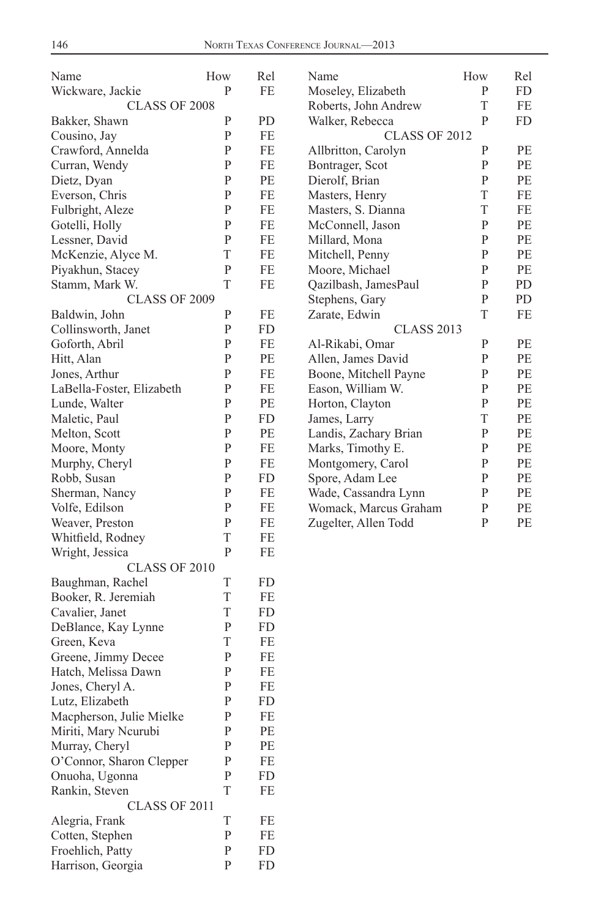| Name                      | How          | Rel      | Name                  | How          | Rel |
|---------------------------|--------------|----------|-----------------------|--------------|-----|
| Wickware, Jackie          | P            | FE       | Moseley, Elizabeth    | P            | FD  |
| CLASS OF 2008             |              |          | Roberts, John Andrew  | T            | FE  |
| Bakker, Shawn             | $\mathbf{P}$ | PD       | Walker, Rebecca       | P            | FD  |
| Cousino, Jay              | P            | FE       | <b>CLASS OF 2012</b>  |              |     |
| Crawford, Annelda         | P            | FE       | Allbritton, Carolyn   | $\mathbf{P}$ | РE  |
| Curran, Wendy             | P            | FE       | Bontrager, Scot       | P            | PE  |
| Dietz, Dyan               | $\mathbf{P}$ | PE       | Dierolf, Brian        | P            | PE  |
| Everson, Chris            | ${\bf P}$    | FE       | Masters, Henry        | $\mathbf T$  | FE  |
| Fulbright, Aleze          | $\mathbf{P}$ | FE       | Masters, S. Dianna    | $\mathbf T$  | FE  |
| Gotelli, Holly            | P            | FE       | McConnell, Jason      | P            | PЕ  |
| Lessner, David            | ${\bf P}$    | FE       | Millard, Mona         | $\mathbf{P}$ | РE  |
| McKenzie, Alyce M.        | T            | FE       | Mitchell, Penny       | $\mathbf{P}$ | РE  |
| Piyakhun, Stacey          | $\mathbf{P}$ | FE       | Moore, Michael        | P            | РE  |
| Stamm, Mark W.            | T            | FE       | Qazilbash, JamesPaul  | P            | PD  |
| CLASS OF 2009             |              |          | Stephens, Gary        | P            | PD  |
| Baldwin, John             | ${\bf P}$    | FE       | Zarate, Edwin         | T            | FE  |
| Collinsworth, Janet       | $\mathbf{P}$ | FD       | <b>CLASS 2013</b>     |              |     |
| Goforth, Abril            | P            | FE       | Al-Rikabi, Omar       | P            | РE  |
| Hitt, Alan                | $\mathbf{P}$ | PE       | Allen, James David    | P            | PE  |
| Jones, Arthur             | $\mathbf{P}$ | FE       | Boone, Mitchell Payne | $\mathbf{P}$ | РE  |
| LaBella-Foster, Elizabeth | P            | FE       | Eason, William W.     | P            | РE  |
| Lunde, Walter             | P            | PЕ       | Horton, Clayton       | P            | РE  |
| Maletic, Paul             | $\mathbf{P}$ | FD       | James, Larry          | T            | PE  |
| Melton, Scott             | $\mathbf{P}$ | PE       | Landis, Zachary Brian | $\mathbf{P}$ | РE  |
| Moore, Monty              | P            | FE       | Marks, Timothy E.     | P            | РE  |
| Murphy, Cheryl            | P            | FE       | Montgomery, Carol     | P            | РE  |
| Robb, Susan               | $\mathbf{P}$ | FD       | Spore, Adam Lee       | P            | РE  |
| Sherman, Nancy            | $\mathbf{P}$ | FE       | Wade, Cassandra Lynn  | $\mathbf{P}$ | PE  |
| Volfe, Edilson            | P            | FE       | Womack, Marcus Graham | $\mathbf{P}$ | РE  |
| Weaver, Preston           | P            | FE       | Zugelter, Allen Todd  | P            | РE  |
| Whitfield, Rodney         | T            | FE       |                       |              |     |
| Wright, Jessica           | $\mathbf{P}$ | FE       |                       |              |     |
| CLASS OF 2010             |              |          |                       |              |     |
| Baughman, Rachel          | T            | FD       |                       |              |     |
| Booker, R. Jeremiah       | T            | FE       |                       |              |     |
| Cavalier, Janet           | T            | FD       |                       |              |     |
| DeBlance, Kay Lynne       | $\mathbf{P}$ | FD       |                       |              |     |
| Green, Keva               | T            | FE       |                       |              |     |
| Greene, Jimmy Decee       | ${\bf P}$    | FE       |                       |              |     |
| Hatch, Melissa Dawn       | $\mathbf{P}$ | FE       |                       |              |     |
| Jones, Cheryl A.          | ${\bf P}$    | FE       |                       |              |     |
| Lutz, Elizabeth           | P            | FD       |                       |              |     |
| Macpherson, Julie Mielke  | $\mathbf P$  | FE       |                       |              |     |
| Miriti, Mary Neurubi      | ${\bf P}$    | $\rm PE$ |                       |              |     |
| Murray, Cheryl            | ${\bf P}$    | PE       |                       |              |     |
| O'Connor, Sharon Clepper  | $\mathbf{P}$ | FE       |                       |              |     |
| Onuoha, Ugonna            | ${\bf P}$    | FD       |                       |              |     |
| Rankin, Steven            | $\mathbf T$  | FE       |                       |              |     |
| CLASS OF 2011             |              |          |                       |              |     |
| Alegria, Frank            | $\mathbf T$  | FE       |                       |              |     |
| Cotten, Stephen           | $\mathbf{P}$ | FE       |                       |              |     |
| Froehlich, Patty          | ${\bf P}$    | FD       |                       |              |     |
| Harrison, Georgia         | ${\bf P}$    | FD       |                       |              |     |
|                           |              |          |                       |              |     |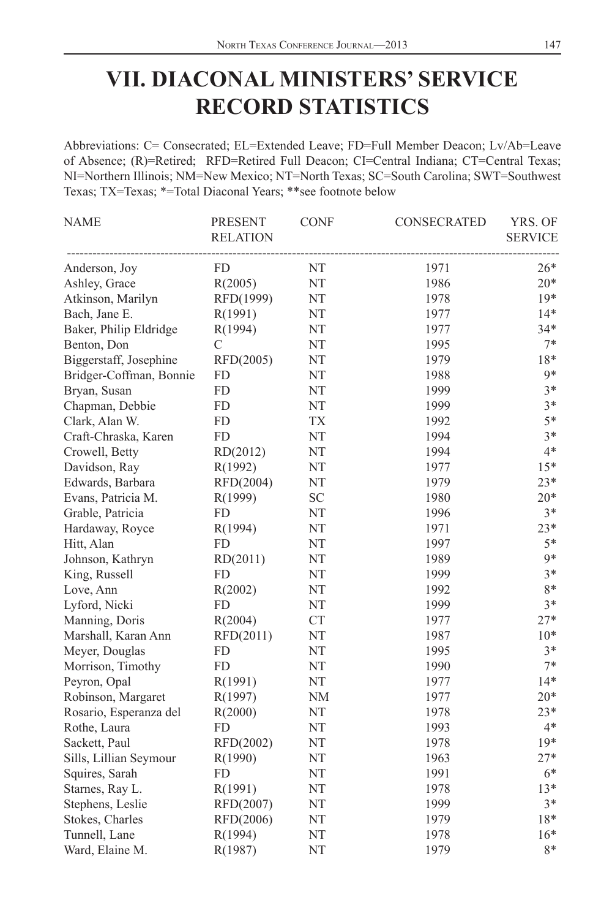## **VII. DIACONAL MINISTERS' SERVICE RECORD STATISTICS**

Abbreviations: C= Consecrated; EL=Extended Leave; FD=Full Member Deacon; Lv/Ab=Leave of Absence; (R)=Retired; RFD=Retired Full Deacon; CI=Central Indiana; CT=Central Texas; NI=Northern Illinois; NM=New Mexico; NT=North Texas; SC=South Carolina; SWT=Southwest Texas; TX=Texas; \*=Total Diaconal Years; \*\*see footnote below

| <b>NAME</b>             | <b>PRESENT</b><br><b>RELATION</b> | <b>CONF</b>                | <b>CONSECRATED</b> | YRS. OF<br><b>SERVICE</b> |
|-------------------------|-----------------------------------|----------------------------|--------------------|---------------------------|
| Anderson, Joy           | FD.                               | NT                         | 1971               | $26*$                     |
| Ashley, Grace           | R(2005)                           | NT                         | 1986               | $20*$                     |
| Atkinson, Marilyn       | RFD(1999)                         | NT                         | 1978               | $19*$                     |
| Bach, Jane E.           | R(1991)                           | NT                         | 1977               | $14*$                     |
| Baker, Philip Eldridge  | R(1994)                           | NT                         | 1977               | $34*$                     |
| Benton, Don             | C                                 | $\rm{NT}$                  | 1995               | $7*$                      |
| Biggerstaff, Josephine  | RFD(2005)                         | NT                         | 1979               | 18*                       |
| Bridger-Coffman, Bonnie | <b>FD</b>                         | NT                         | 1988               | $9*$                      |
| Bryan, Susan            | <b>FD</b>                         | NT                         | 1999               | $3*$                      |
| Chapman, Debbie         | ${\rm FD}$                        | $\rm{NT}$                  | 1999               | $3*$                      |
| Clark, Alan W.          | <b>FD</b>                         | <b>TX</b>                  | 1992               | $5*$                      |
| Craft-Chraska, Karen    | <b>FD</b>                         | NT                         | 1994               | $3*$                      |
| Crowell, Betty          | RD(2012)                          | NT                         | 1994               | $4*$                      |
| Davidson, Ray           | R(1992)                           | $\rm{NT}$                  | 1977               | $15*$                     |
| Edwards, Barbara        | $\mathrm{RFD}(2004)$              | NT                         | 1979               | $23*$                     |
| Evans, Patricia M.      | R(1999)                           | $\ensuremath{\mathbf{SC}}$ | 1980               | $20*$                     |
| Grable, Patricia        | <b>FD</b>                         | NT                         | 1996               | $3*$                      |
| Hardaway, Royce         | R(1994)                           | NT                         | 1971               | $23*$                     |
| Hitt, Alan              | FD                                | NT                         | 1997               | $5*$                      |
| Johnson, Kathryn        | RD(2011)                          | NT                         | 1989               | $9*$                      |
| King, Russell           | FD                                | NT                         | 1999               | $3*$                      |
| Love, Ann               | R(2002)                           | NT                         | 1992               | 8*                        |
| Lyford, Nicki           | FD                                | NT                         | 1999               | $3*$                      |
| Manning, Doris          | R(2004)                           | <b>CT</b>                  | 1977               | $27*$                     |
| Marshall, Karan Ann     | RFD(2011)                         | NT                         | 1987               | $10*$                     |
| Meyer, Douglas          | <b>FD</b>                         | NT                         | 1995               | $3*$                      |
| Morrison, Timothy       | <b>FD</b>                         | NT                         | 1990               | $7*$                      |
| Peyron, Opal            | R(1991)                           | NT                         | 1977               | $14*$                     |
| Robinson, Margaret      | R(1997)                           | <b>NM</b>                  | 1977               | $20*$                     |
| Rosario, Esperanza del  | R(2000)                           | NT                         | 1978               | $23*$                     |
| Rothe, Laura            | <b>FD</b>                         | $\rm{NT}$                  | 1993               | $4*$                      |
| Sackett, Paul           | RFD(2002)                         | NT                         | 1978               | $19*$                     |
| Sills, Lillian Seymour  | R(1990)                           | NT                         | 1963               | $27*$                     |
| Squires, Sarah          | FD                                | NT                         | 1991               | $6*$                      |
| Starnes, Ray L.         | R(1991)                           | $\rm{NT}$                  | 1978               | $13*$                     |
| Stephens, Leslie        | RFD(2007)                         | NT                         | 1999               | $3*$                      |
| Stokes, Charles         | RFD(2006)                         | NT                         | 1979               | 18*                       |
| Tunnell, Lane           | R(1994)                           | NT                         | 1978               | $16*$                     |
| Ward, Elaine M.         | R(1987)                           | NT                         | 1979               | $8*$                      |